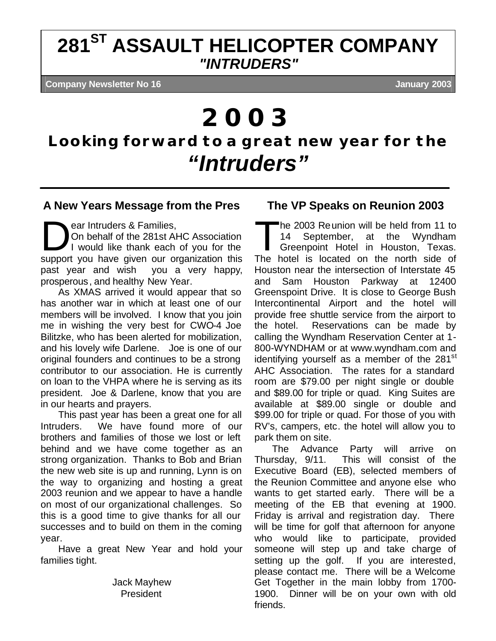## **281ST ASSAULT HELICOPTER COMPANY** *"INTRUDERS"*

**Company Newsletter No 16 January 2003**

# *2003*

## **Looking forward to a great new year for the** *"Intruders"*

### **A New Years Message from the Pres**

ear Intruders & Families,

On behalf of the 281st AHC Association I would like thank each of you for the support you have given our organization this past year and wish you a very happy, prosperous, and healthy New Year. ear Intruders & Families,<br>On behalf of the 281st AHC Association<br>I would like thank each of you for the<br>Support you have given our arganization this The I

As XMAS arrived it would appear that so has another war in which at least one of our members will be involved. I know that you join me in wishing the very best for CWO-4 Joe Bilitzke, who has been alerted for mobilization, and his lovely wife Darlene. Joe is one of our original founders and continues to be a strong contributor to our association. He is currently on loan to the VHPA where he is serving as its president. Joe & Darlene, know that you are in our hearts and prayers.

This past year has been a great one for all Intruders. We have found more of our brothers and families of those we lost or left behind and we have come together as an strong organization. Thanks to Bob and Brian the new web site is up and running, Lynn is on the way to organizing and hosting a great 2003 reunion and we appear to have a handle on most of our organizational challenges. So this is a good time to give thanks for all our successes and to build on them in the coming year.

Have a great New Year and hold your families tight.

> Jack Mayhew President

## **The VP Speaks on Reunion 2003**

he 2003 Reunion will be held from 11 to 14 September, at the Wyndham Greenpoint Hotel in Houston, Texas. The hotel is located on the north side of Houston near the intersection of Interstate 45 and Sam Houston Parkway at 12400 Greenspoint Drive. It is close to George Bush Intercontinental Airport and the hotel will provide free shuttle service from the airport to the hotel. Reservations can be made by calling the Wyndham Reservation Center at 1- 800-WYNDHAM or at www.wyndham.com and identifying yourself as a member of the  $281<sup>st</sup>$ AHC Association. The rates for a standard room are \$79.00 per night single or double and \$89.00 for triple or quad. King Suites are available at \$89.00 single or double and \$99.00 for triple or quad. For those of you with RV's, campers, etc. the hotel will allow you to park them on site.

The Advance Party will arrive on Thursday, 9/11. This will consist of the Executive Board (EB), selected members of the Reunion Committee and anyone else who wants to get started early. There will be a meeting of the EB that evening at 1900. Friday is arrival and registration day. There will be time for golf that afternoon for anyone who would like to participate, provided someone will step up and take charge of setting up the golf. If you are interested, please contact me. There will be a Welcome Get Together in the main lobby from 1700- 1900. Dinner will be on your own with old friends.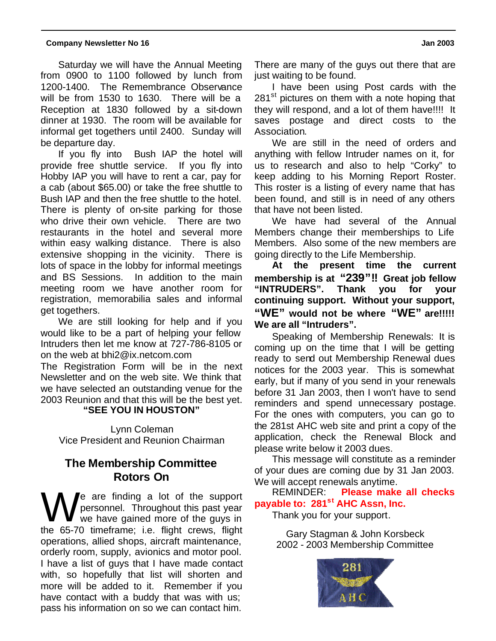Saturday we will have the Annual Meeting from 0900 to 1100 followed by lunch from 1200-1400. The Remembrance Observance will be from 1530 to 1630. There will be a Reception at 1830 followed by a sit-down dinner at 1930. The room will be available for informal get togethers until 2400. Sunday will be departure day.

If you fly into Bush IAP the hotel will provide free shuttle service. If you fly into Hobby IAP you will have to rent a car, pay for a cab (about \$65.00) or take the free shuttle to Bush IAP and then the free shuttle to the hotel. There is plenty of on-site parking for those who drive their own vehicle. There are two restaurants in the hotel and several more within easy walking distance. There is also extensive shopping in the vicinity. There is lots of space in the lobby for informal meetings and BS Sessions. In addition to the main meeting room we have another room for registration, memorabilia sales and informal get togethers.

We are still looking for help and if you would like to be a part of helping your fellow Intruders then let me know at 727-786-8105 or on the web at bhi2@ix.netcom.com

The Registration Form will be in the next Newsletter and on the web site. We think that we have selected an outstanding venue for the 2003 Reunion and that this will be the best yet.

#### **"SEE YOU IN HOUSTON"**

Lynn Coleman Vice President and Reunion Chairman

## **The Membership Committee Rotors On**

e are finding a lot of the support personnel. Throughout this past year we have gained more of the guys in We are finding a lot of the support personnel. Throughout this past year we have gained more of the guys in the 65-70 timeframe; i.e. flight crews, flight operations, allied shops, aircraft maintenance, orderly room, supply, avionics and motor pool. I have a list of guys that I have made contact with, so hopefully that list will shorten and more will be added to it. Remember if you have contact with a buddy that was with us; pass his information on so we can contact him.

There are many of the guys out there that are just waiting to be found.

I have been using Post cards with the 281<sup>st</sup> pictures on them with a note hoping that they will respond, and a lot of them have!!!! It saves postage and direct costs to the Association.

We are still in the need of orders and anything with fellow Intruder names on it, for us to research and also to help "Corky" to keep adding to his Morning Report Roster. This roster is a listing of every name that has been found, and still is in need of any others that have not been listed.

We have had several of the Annual Members change their memberships to Life Members. Also some of the new members are going directly to the Life Membership.

**At the present time the current membership is at "239"!! Great job fellow "INTRUDERS". Thank you for your continuing support. Without your support, "WE" would not be where "WE" are!!!!! We are all "Intruders".**

Speaking of Membership Renewals: It is coming up on the time that I will be getting ready to send out Membership Renewal dues notices for the 2003 year. This is somewhat early, but if many of you send in your renewals before 31 Jan 2003, then I won't have to send reminders and spend unnecessary postage. For the ones with computers, you can go to the 281st AHC web site and print a copy of the application, check the Renewal Block and please write below it 2003 dues.

This message will constitute as a reminder of your dues are coming due by 31 Jan 2003.

We will accept renewals anytime.<br>REMINDER: Please make **Please make all checks payable to: 281st AHC Assn, Inc.**

Thank you for your support.

Gary Stagman & John Korsbeck 2002 - 2003 Membership Committee

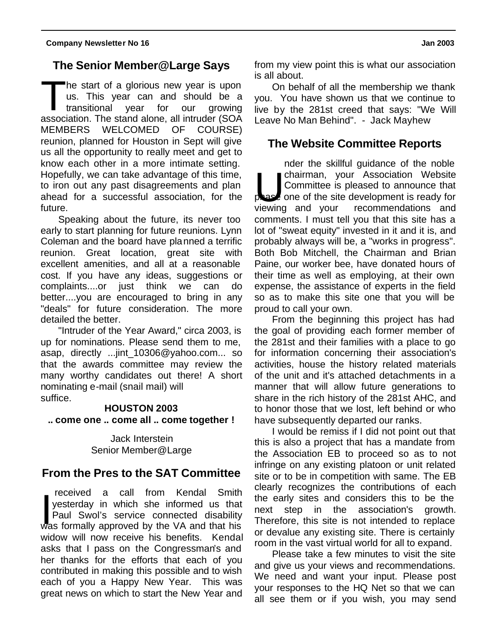## **The Senior Member@Large Says**

he start of a glorious new year is upon us. This year can and should be a transitional year for our growing The start of a glorious new year is upon<br>us. This year can and should be a<br>transitional year for our growing<br>association. The stand alone, all intruder (SOA MEMBERS WELCOMED OF COURSE) reunion, planned for Houston in Sept will give us all the opportunity to really meet and get to know each other in a more intimate setting. Hopefully, we can take advantage of this time, to iron out any past disagreements and plan ahead for a successful association, for the future.

Speaking about the future, its never too early to start planning for future reunions. Lynn Coleman and the board have planned a terrific reunion. Great location, great site with excellent amenities, and all at a reasonable cost. If you have any ideas, suggestions or complaints....or just think we can do better....you are encouraged to bring in any "deals" for future consideration. The more detailed the better.

"Intruder of the Year Award," circa 2003, is up for nominations. Please send them to me, asap, directly ...jint\_10306@yahoo.com... so that the awards committee may review the many worthy candidates out there! A short nominating e-mail (snail mail) will suffice.

#### **HOUSTON 2003**

**.. come one .. come all .. come together !**

Jack Interstein Senior Member@Large

### **From the Pres to the SAT Committee**

 received a call from Kendal Smith yesterday in which she informed us that Paul Swol's service connected disability received a call from Kendal Smith<br>
yesterday in which she informed us that<br>
Paul Swol's service connected disability<br>
was formally approved by the VA and that his widow will now receive his benefits. Kendal asks that I pass on the Congressman's and her thanks for the efforts that each of you contributed in making this possible and to wish each of you a Happy New Year. This was great news on which to start the New Year and

from my view point this is what our association is all about.

On behalf of all the membership we thank you. You have shown us that we continue to live by the 281st creed that says: "We Will Leave No Man Behind". - Jack Mayhew

## **The Website Committee Reports**

nder the skillful guidance of the noble chairman, your Association Website Committee is pleased to announce that  $\epsilon$  one of the site development is ready for recommendations and comments. I must tell you that this site has a lot of "sweat equity" invested in it and it is, and probably always will be, a "works in progress". Both Bob Mitchell, the Chairman and Brian Paine, our worker bee, have donated hours of their time as well as employing, at their own expense, the assistance of experts in the field so as to make this site one that you will be proud to call your own. viewing and your

From the beginning this project has had the goal of providing each former member of the 281st and their families with a place to go for information concerning their association's activities, house the history related materials of the unit and it's attached detachments in a manner that will allow future generations to share in the rich history of the 281st AHC, and to honor those that we lost, left behind or who have subsequently departed our ranks.

I would be remiss if I did not point out that this is also a project that has a mandate from the Association EB to proceed so as to not infringe on any existing platoon or unit related site or to be in competition with same. The EB clearly recognizes the contributions of each the early sites and considers this to be the next step in the association's growth. Therefore, this site is not intended to replace or devalue any existing site. There is certainly room in the vast virtual world for all to expand.

Please take a few minutes to visit the site and give us your views and recommendations. We need and want your input. Please post your responses to the HQ Net so that we can all see them or if you wish, you may send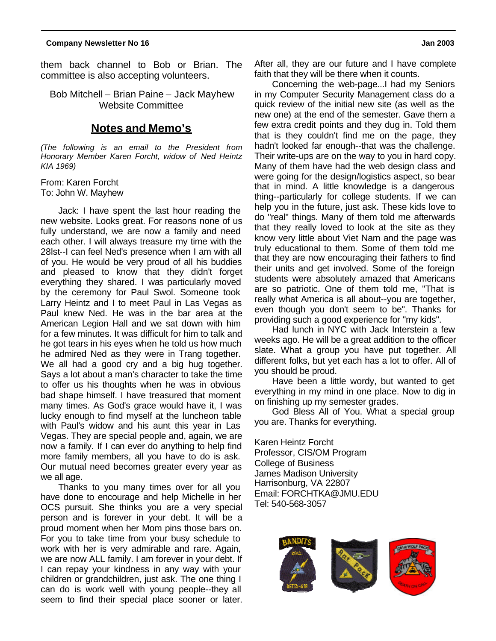them back channel to Bob or Brian. The committee is also accepting volunteers.

Bob Mitchell – Brian Paine – Jack Mayhew Website Committee

#### **Notes and Memo's**

*(The following is an email to the President from Honorary Member Karen Forcht, widow of Ned Heintz KIA 1969)*

From: Karen Forcht To: John W. Mayhew

Jack: I have spent the last hour reading the new website. Looks great. For reasons none of us fully understand, we are now a family and need each other. I will always treasure my time with the 28lst--I can feel Ned's presence when I am with all of you. He would be very proud of all his buddies and pleased to know that they didn't forget everything they shared. I was particularly moved by the ceremony for Paul Swol. Someone took Larry Heintz and I to meet Paul in Las Vegas as Paul knew Ned. He was in the bar area at the American Legion Hall and we sat down with him for a few minutes. It was difficult for him to talk and he got tears in his eyes when he told us how much he admired Ned as they were in Trang together. We all had a good cry and a big hug together. Says a lot about a man's character to take the time to offer us his thoughts when he was in obvious bad shape himself. I have treasured that moment many times. As God's grace would have it, I was lucky enough to find myself at the luncheon table with Paul's widow and his aunt this year in Las Vegas. They are special people and, again, we are now a family. If I can ever do anything to help find more family members, all you have to do is ask. Our mutual need becomes greater every year as we all age.

Thanks to you many times over for all you have done to encourage and help Michelle in her OCS pursuit. She thinks you are a very special person and is forever in your debt. It will be a proud moment when her Mom pins those bars on. For you to take time from your busy schedule to work with her is very admirable and rare. Again, we are now ALL family. I am forever in your debt. If I can repay your kindness in any way with your children or grandchildren, just ask. The one thing I can do is work well with young people--they all seem to find their special place sooner or later. After all, they are our future and I have complete faith that they will be there when it counts.

Concerning the web-page...I had my Seniors in my Computer Security Management class do a quick review of the initial new site (as well as the new one) at the end of the semester. Gave them a few extra credit points and they dug in. Told them that is they couldn't find me on the page, they hadn't looked far enough--that was the challenge. Their write-ups are on the way to you in hard copy. Many of them have had the web design class and were going for the design/logistics aspect, so bear that in mind. A little knowledge is a dangerous thing--particularly for college students. If we can help you in the future, just ask. These kids love to do "real" things. Many of them told me afterwards that they really loved to look at the site as they know very little about Viet Nam and the page was truly educational to them. Some of them told me that they are now encouraging their fathers to find their units and get involved. Some of the foreign students were absolutely amazed that Americans are so patriotic. One of them told me, "That is really what America is all about--you are together, even though you don't seem to be". Thanks for providing such a good experience for "my kids".

Had lunch in NYC with Jack Interstein a few weeks ago. He will be a great addition to the officer slate. What a group you have put together. All different folks, but yet each has a lot to offer. All of you should be proud.

Have been a little wordy, but wanted to get everything in my mind in one place. Now to dig in on finishing up my semester grades.

God Bless All of You. What a special group you are. Thanks for everything.

Karen Heintz Forcht Professor, CIS/OM Program College of Business James Madison University Harrisonburg, VA 22807 Email: FORCHTKA@JMU.EDU Tel: 540-568-3057

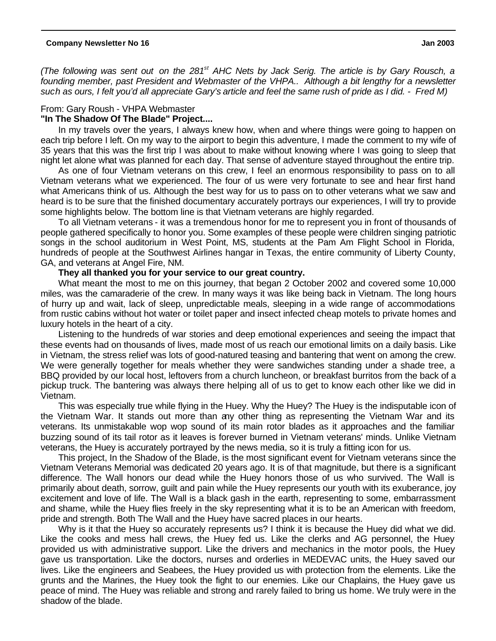*(The following was sent out on the 281st AHC Nets by Jack Serig. The article is by Gary Rousch, a founding member, past President and Webmaster of the VHPA.. Although a bit lengthy for a newsletter such as ours, I felt you'd all appreciate Gary's article and feel the same rush of pride as I did. - Fred M)*

#### From: Gary Roush - VHPA Webmaster

#### **"In The Shadow Of The Blade" Project....**

In my travels over the years, I always knew how, when and where things were going to happen on each trip before I left. On my way to the airport to begin this adventure, I made the comment to my wife of 35 years that this was the first trip I was about to make without knowing where I was going to sleep that night let alone what was planned for each day. That sense of adventure stayed throughout the entire trip.

As one of four Vietnam veterans on this crew, I feel an enormous responsibility to pass on to all Vietnam veterans what we experienced. The four of us were very fortunate to see and hear first hand what Americans think of us. Although the best way for us to pass on to other veterans what we saw and heard is to be sure that the finished documentary accurately portrays our experiences, I will try to provide some highlights below. The bottom line is that Vietnam veterans are highly regarded.

To all Vietnam veterans - it was a tremendous honor for me to represent you in front of thousands of people gathered specifically to honor you. Some examples of these people were children singing patriotic songs in the school auditorium in West Point, MS, students at the Pam Am Flight School in Florida, hundreds of people at the Southwest Airlines hangar in Texas, the entire community of Liberty County, GA, and veterans at Angel Fire, NM.

#### **They all thanked you for your service to our great country.**

What meant the most to me on this journey, that began 2 October 2002 and covered some 10,000 miles, was the camaraderie of the crew. In many ways it was like being back in Vietnam. The long hours of hurry up and wait, lack of sleep, unpredictable meals, sleeping in a wide range of accommodations from rustic cabins without hot water or toilet paper and insect infected cheap motels to private homes and luxury hotels in the heart of a city.

Listening to the hundreds of war stories and deep emotional experiences and seeing the impact that these events had on thousands of lives, made most of us reach our emotional limits on a daily basis. Like in Vietnam, the stress relief was lots of good-natured teasing and bantering that went on among the crew. We were generally together for meals whether they were sandwiches standing under a shade tree, a BBQ provided by our local host, leftovers from a church luncheon, or breakfast burritos from the back of a pickup truck. The bantering was always there helping all of us to get to know each other like we did in Vietnam.

This was especially true while flying in the Huey. Why the Huey? The Huey is the indisputable icon of the Vietnam War. It stands out more than any other thing as representing the Vietnam War and its veterans. Its unmistakable wop wop sound of its main rotor blades as it approaches and the familiar buzzing sound of its tail rotor as it leaves is forever burned in Vietnam veterans' minds. Unlike Vietnam veterans, the Huey is accurately portrayed by the news media, so it is truly a fitting icon for us.

This project, In the Shadow of the Blade, is the most significant event for Vietnam veterans since the Vietnam Veterans Memorial was dedicated 20 years ago. It is of that magnitude, but there is a significant difference. The Wall honors our dead while the Huey honors those of us who survived. The Wall is primarily about death, sorrow, guilt and pain while the Huey represents our youth with its exuberance, joy excitement and love of life. The Wall is a black gash in the earth, representing to some, embarrassment and shame, while the Huey flies freely in the sky representing what it is to be an American with freedom, pride and strength. Both The Wall and the Huey have sacred places in our hearts.

Why is it that the Huey so accurately represents us? I think it is because the Huey did what we did. Like the cooks and mess hall crews, the Huey fed us. Like the clerks and AG personnel, the Huey provided us with administrative support. Like the drivers and mechanics in the motor pools, the Huey gave us transportation. Like the doctors, nurses and orderlies in MEDEVAC units, the Huey saved our lives. Like the engineers and Seabees, the Huey provided us with protection from the elements. Like the grunts and the Marines, the Huey took the fight to our enemies. Like our Chaplains, the Huey gave us peace of mind. The Huey was reliable and strong and rarely failed to bring us home. We truly were in the shadow of the blade.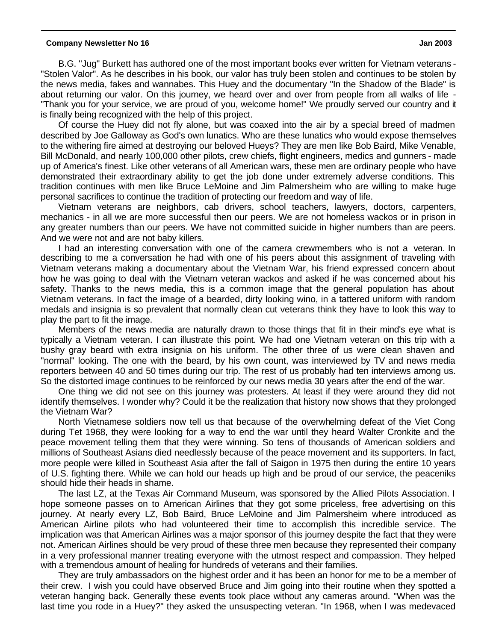B.G. "Jug" Burkett has authored one of the most important books ever written for Vietnam veterans - "Stolen Valor". As he describes in his book, our valor has truly been stolen and continues to be stolen by the news media, fakes and wannabes. This Huey and the documentary "In the Shadow of the Blade" is about returning our valor. On this journey, we heard over and over from people from all walks of life - "Thank you for your service, we are proud of you, welcome home!" We proudly served our country and it is finally being recognized with the help of this project.

Of course the Huey did not fly alone, but was coaxed into the air by a special breed of madmen described by Joe Galloway as God's own lunatics. Who are these lunatics who would expose themselves to the withering fire aimed at destroying our beloved Hueys? They are men like Bob Baird, Mike Venable, Bill McDonald, and nearly 100,000 other pilots, crew chiefs, flight engineers, medics and gunners - made up of America's finest. Like other veterans of all American wars, these men are ordinary people who have demonstrated their extraordinary ability to get the job done under extremely adverse conditions. This tradition continues with men like Bruce LeMoine and Jim Palmersheim who are willing to make huge personal sacrifices to continue the tradition of protecting our freedom and way of life.

Vietnam veterans are neighbors, cab drivers, school teachers, lawyers, doctors, carpenters, mechanics - in all we are more successful then our peers. We are not homeless wackos or in prison in any greater numbers than our peers. We have not committed suicide in higher numbers than are peers. And we were not and are not baby killers.

I had an interesting conversation with one of the camera crewmembers who is not a veteran. In describing to me a conversation he had with one of his peers about this assignment of traveling with Vietnam veterans making a documentary about the Vietnam War, his friend expressed concern about how he was going to deal with the Vietnam veteran wackos and asked if he was concerned about his safety. Thanks to the news media, this is a common image that the general population has about Vietnam veterans. In fact the image of a bearded, dirty looking wino, in a tattered uniform with random medals and insignia is so prevalent that normally clean cut veterans think they have to look this way to play the part to fit the image.

Members of the news media are naturally drawn to those things that fit in their mind's eye what is typically a Vietnam veteran. I can illustrate this point. We had one Vietnam veteran on this trip with a bushy gray beard with extra insignia on his uniform. The other three of us were clean shaven and "normal" looking. The one with the beard, by his own count, was interviewed by TV and news media reporters between 40 and 50 times during our trip. The rest of us probably had ten interviews among us. So the distorted image continues to be reinforced by our news media 30 years after the end of the war.

One thing we did not see on this journey was protesters. At least if they were around they did not identify themselves. I wonder why? Could it be the realization that history now shows that they prolonged the Vietnam War?

North Vietnamese soldiers now tell us that because of the overwhelming defeat of the Viet Cong during Tet 1968, they were looking for a way to end the war until they heard Walter Cronkite and the peace movement telling them that they were winning. So tens of thousands of American soldiers and millions of Southeast Asians died needlessly because of the peace movement and its supporters. In fact, more people were killed in Southeast Asia after the fall of Saigon in 1975 then during the entire 10 years of U.S. fighting there. While we can hold our heads up high and be proud of our service, the peaceniks should hide their heads in shame.

The last LZ, at the Texas Air Command Museum, was sponsored by the Allied Pilots Association. I hope someone passes on to American Airlines that they got some priceless, free advertising on this journey. At nearly every LZ, Bob Baird, Bruce LeMoine and Jim Palmersheim where introduced as American Airline pilots who had volunteered their time to accomplish this incredible service. The implication was that American Airlines was a major sponsor of this journey despite the fact that they were not. American Airlines should be very proud of these three men because they represented their company in a very professional manner treating everyone with the utmost respect and compassion. They helped with a tremendous amount of healing for hundreds of veterans and their families.

They are truly ambassadors on the highest order and it has been an honor for me to be a member of their crew. I wish you could have observed Bruce and Jim going into their routine when they spotted a veteran hanging back. Generally these events took place without any cameras around. "When was the last time you rode in a Huey?" they asked the unsuspecting veteran. "In 1968, when I was medevaced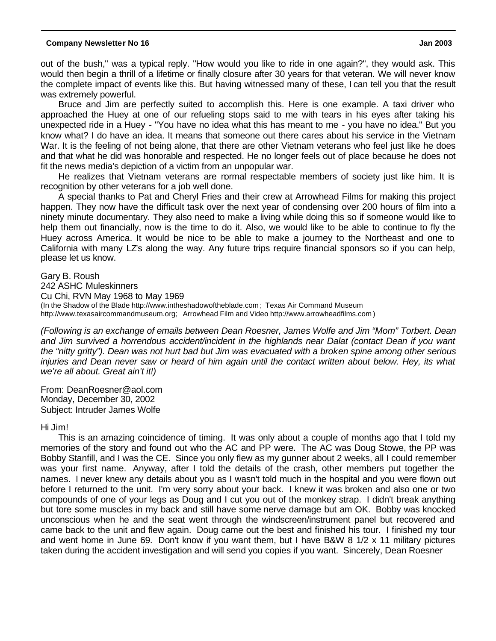out of the bush," was a typical reply. "How would you like to ride in one again?", they would ask. This would then begin a thrill of a lifetime or finally closure after 30 years for that veteran. We will never know the complete impact of events like this. But having witnessed many of these, I can tell you that the result was extremely powerful.

Bruce and Jim are perfectly suited to accomplish this. Here is one example. A taxi driver who approached the Huey at one of our refueling stops said to me with tears in his eyes after taking his unexpected ride in a Huey - "You have no idea what this has meant to me - you have no idea." But you know what? I do have an idea. It means that someone out there cares about his service in the Vietnam War. It is the feeling of not being alone, that there are other Vietnam veterans who feel just like he does and that what he did was honorable and respected. He no longer feels out of place because he does not fit the news media's depiction of a victim from an unpopular war.

He realizes that Vietnam veterans are normal respectable members of society just like him. It is recognition by other veterans for a job well done.

A special thanks to Pat and Cheryl Fries and their crew at Arrowhead Films for making this project happen. They now have the difficult task over the next year of condensing over 200 hours of film into a ninety minute documentary. They also need to make a living while doing this so if someone would like to help them out financially, now is the time to do it. Also, we would like to be able to continue to fly the Huey across America. It would be nice to be able to make a journey to the Northeast and one to California with many LZ's along the way. Any future trips require financial sponsors so if you can help, please let us know.

Gary B. Roush 242 ASHC Muleskinners Cu Chi, RVN May 1968 to May 1969 (In the Shadow of the Blade http://www.intheshadowoftheblade.com ; Texas Air Command Museum http://www.texasaircommandmuseum.org; Arrowhead Film and Video http://www.arrowheadfilms.com )

*(Following is an exchange of emails between Dean Roesner, James Wolfe and Jim "Mom" Torbert. Dean and Jim survived a horrendous accident/incident in the highlands near Dalat (contact Dean if you want the "nitty gritty"). Dean was not hurt bad but Jim was evacuated with a broken spine among other serious injuries and Dean never saw or heard of him again until the contact written about below. Hey, its what we're all about. Great ain't it!)*

From: DeanRoesner@aol.com Monday, December 30, 2002 Subject: Intruder James Wolfe

#### Hi Jim!

This is an amazing coincidence of timing. It was only about a couple of months ago that I told my memories of the story and found out who the AC and PP were. The AC was Doug Stowe, the PP was Bobby Stanfill, and I was the CE. Since you only flew as my gunner about 2 weeks, all I could remember was your first name. Anyway, after I told the details of the crash, other members put together the names. I never knew any details about you as I wasn't told much in the hospital and you were flown out before I returned to the unit. I'm very sorry about your back. I knew it was broken and also one or two compounds of one of your legs as Doug and I cut you out of the monkey strap. I didn't break anything but tore some muscles in my back and still have some nerve damage but am OK. Bobby was knocked unconscious when he and the seat went through the windscreen/instrument panel but recovered and came back to the unit and flew again. Doug came out the best and finished his tour. I finished my tour and went home in June 69. Don't know if you want them, but I have B&W 8 1/2 x 11 military pictures taken during the accident investigation and will send you copies if you want. Sincerely, Dean Roesner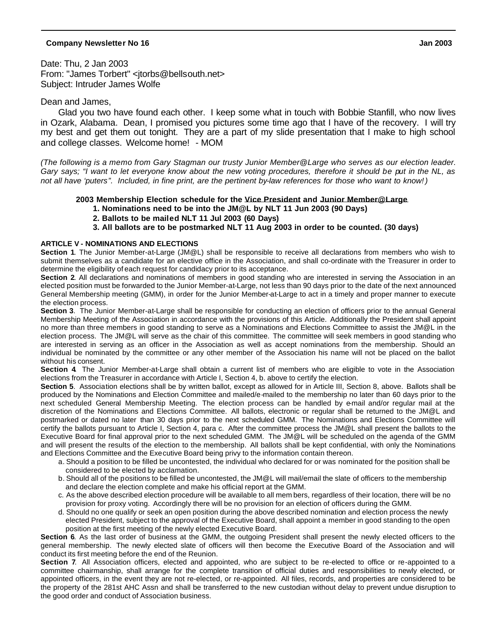Date: Thu, 2 Jan 2003 From: "James Torbert" <jtorbs@bellsouth.net> Subject: Intruder James Wolfe

#### Dean and James,

Glad you two have found each other. I keep some what in touch with Bobbie Stanfill, who now lives in Ozark, Alabama. Dean, I promised you pictures some time ago that I have of the recovery. I will try my best and get them out tonight. They are a part of my slide presentation that I make to high school and college classes. Welcome home! - MOM

*(The following is a memo from Gary Stagman our trusty Junior Member@Large who serves as our election leader. Gary says; "I want to let everyone know about the new voting procedures, therefore it should be put in the NL, as not all have 'puters". Included, in fine print, are the pertinent by-law references for those who want to know!)*

#### **2003 Membership Election schedule for the Vice President and Junior Member@Large**

- **1. Nominations need to be into the JM@L by NLT 11 Jun 2003 (90 Days)**
- **2. Ballots to be mailed NLT 11 Jul 2003 (60 Days)**
- **3. All ballots are to be postmarked NLT 11 Aug 2003 in order to be counted. (30 days)**

#### **ARTICLE V - NOMINATIONS AND ELECTIONS**

**Section 1**. The Junior Member-at-Large (JM@L) shall be responsible to receive all declarations from members who wish to submit themselves as a candidate for an elective office in the Association, and shall co-ordinate with the Treasurer in order to determine the eligibility of each request for candidacy prior to its acceptance.

**Section 2**. All declarations and nominations of members in good standing who are interested in serving the Association in an elected position must be forwarded to the Junior Member-at-Large, not less than 90 days prior to the date of the next announced General Membership meeting (GMM), in order for the Junior Member-at-Large to act in a timely and proper manner to execute the election process.

**Section 3**. The Junior Member-at-Large shall be responsible for conducting an election of officers prior to the annual General Membership Meeting of the Association in accordance with the provisions of this Article. Additionally the President shall appoint no more than three members in good standing to serve as a Nominations and Elections Committee to assist the JM@L in the election process. The JM@L will serve as the chair of this committee. The committee will seek members in good standing who are interested in serving as an officer in the Association as well as accept nominations from the membership. Should an individual be nominated by the committee or any other member of the Association his name will not be placed on the ballot without his consent.

**Section 4**. The Junior Member-at-Large shall obtain a current list of members who are eligible to vote in the Association elections from the Treasurer in accordance with Article I, Section 4, b. above to certify the election.

**Section 5**. Association elections shall be by written ballot, except as allowed for in Article III, Section 8, above. Ballots shall be produced by the Nominations and Election Committee and mailed/e-mailed to the membership no later than 60 days prior to the next scheduled General Membership Meeting. The election process can be handled by e-mail and/or regular mail at the discretion of the Nominations and Elections Committee. All ballots, electronic or regular shall be returned to the JM@L and postmarked or dated no later than 30 days prior to the next scheduled GMM. The Nominations and Elections Committee will certify the ballots pursuant to Article I, Section 4, para c. After the committee process the JM@L shall present the ballots to the Executive Board for final approval prior to the next scheduled GMM. The JM@L will be scheduled on the agenda of the GMM and will present the results of the election to the membership. All ballots shall be kept confidential, with only the Nominations and Elections Committee and the Executive Board being privy to the information contain thereon.

- a. Should a position to be filled be uncontested, the individual who declared for or was nominated for the position shall be considered to be elected by acclamation.
- b. Should all of the positions to be filled be uncontested, the JM@L will mail/email the slate of officers to the membership and declare the election complete and make his official report at the GMM.
- c. As the above described election procedure will be available to all mem bers, regardless of their location, there will be no provision for proxy voting. Accordingly there will be no provision for an election of officers during the GMM.
- d. Should no one qualify or seek an open position during the above described nomination and election process the newly elected President, subject to the approval of the Executive Board, shall appoint a member in good standing to the open position at the first meeting of the newly elected Executive Board.

**Section 6**. As the last order of business at the GMM, the outgoing President shall present the newly elected officers to the general membership. The newly elected slate of officers will then become the Executive Board of the Association and will conduct its first meeting before the end of the Reunion.

**Section 7**. All Association officers, elected and appointed, who are subject to be re-elected to office or re-appointed to a committee chairmanship, shall arrange for the complete transition of official duties and responsibilities to newly elected, or appointed officers, in the event they are not re-elected, or re-appointed. All files, records, and properties are considered to be the property of the 281st AHC Assn and shall be transferred to the new custodian without delay to prevent undue disruption to the good order and conduct of Association business.